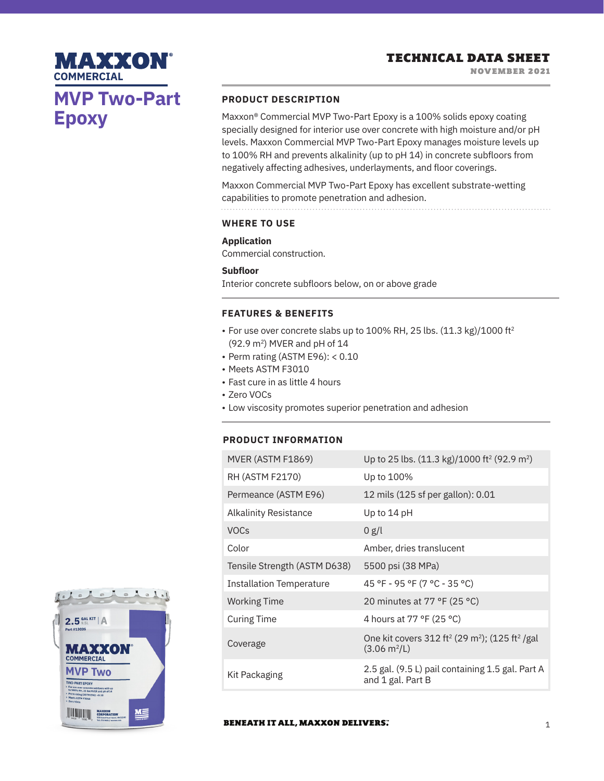# **MVP Two-Part Epoxy**

**MAXXON®** 

**COMMERCIAL**

# **PRODUCT DESCRIPTION**

Maxxon® Commercial MVP Two-Part Epoxy is a 100% solids epoxy coating specially designed for interior use over concrete with high moisture and/or pH levels. Maxxon Commercial MVP Two-Part Epoxy manages moisture levels up to 100% RH and prevents alkalinity (up to pH 14) in concrete subfloors from negatively affecting adhesives, underlayments, and floor coverings.

Maxxon Commercial MVP Two-Part Epoxy has excellent substrate-wetting capabilities to promote penetration and adhesion.

#### **WHERE TO USE**

### **Application**

Commercial construction.

## **Subfloor**

Interior concrete subfloors below, on or above grade

### **FEATURES & BENEFITS**

- For use over concrete slabs up to 100% RH, 25 lbs. (11.3 kg)/1000 ft<sup>2</sup> (92.9 m2) MVER and pH of 14
- Perm rating (ASTM E96): < 0.10
- Meets ASTM F3010
- Fast cure in as little 4 hours
- Zero VOCs
- Low viscosity promotes superior penetration and adhesion

# **PRODUCT INFORMATION**

| MVER (ASTM F1869)               | Up to 25 lbs. (11.3 kg)/1000 ft <sup>2</sup> (92.9 m <sup>2</sup> )                                                 |
|---------------------------------|---------------------------------------------------------------------------------------------------------------------|
| RH (ASTM F2170)                 | Up to 100%                                                                                                          |
| Permeance (ASTM E96)            | 12 mils (125 sf per gallon): 0.01                                                                                   |
| Alkalinity Resistance           | Up to $14$ pH                                                                                                       |
| <b>VOCs</b>                     | 0 g/l                                                                                                               |
| Color                           | Amber, dries translucent                                                                                            |
| Tensile Strength (ASTM D638)    | 5500 psi (38 MPa)                                                                                                   |
| <b>Installation Temperature</b> | 45 °F - 95 °F (7 °C - 35 °C)                                                                                        |
| <b>Working Time</b>             | 20 minutes at 77 °F (25 °C)                                                                                         |
| <b>Curing Time</b>              | 4 hours at 77 °F (25 °C)                                                                                            |
| Coverage                        | One kit covers 312 ft <sup>2</sup> (29 m <sup>2</sup> ); (125 ft <sup>2</sup> /gal<br>$(3.06 \text{ m}^2/\text{L})$ |
| Kit Packaging                   | 2.5 gal. (9.5 L) pail containing 1.5 gal. Part A<br>and 1 gal. Part B                                               |



 $=$  $\sqrt{2}$ 

 $^{\circ}$  1

John Lake

 $2.5$   $_{9.5L}^{GAL KIT}$  | A

#### **BENEATH IT ALL, MAXXON DELIVERS.**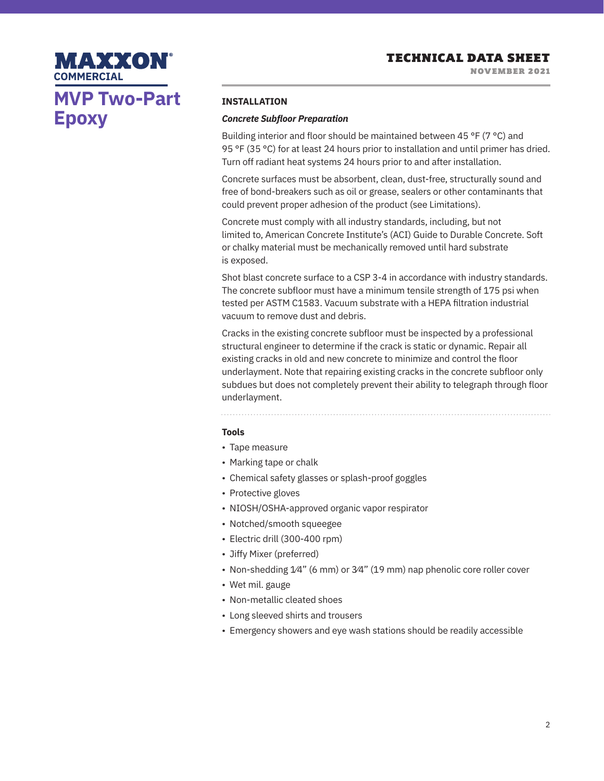# **MVP Two-Part Epoxy**

MAXXON

### **INSTALLATION**

### *Concrete Subfloor Preparation*

Building interior and floor should be maintained between 45 °F (7 °C) and 95 °F (35 °C) for at least 24 hours prior to installation and until primer has dried. Turn off radiant heat systems 24 hours prior to and after installation.

Concrete surfaces must be absorbent, clean, dust-free, structurally sound and free of bond-breakers such as oil or grease, sealers or other contaminants that could prevent proper adhesion of the product (see Limitations).

Concrete must comply with all industry standards, including, but not limited to, American Concrete Institute's (ACI) Guide to Durable Concrete. Soft or chalky material must be mechanically removed until hard substrate is exposed.

Shot blast concrete surface to a CSP 3-4 in accordance with industry standards. The concrete subfloor must have a minimum tensile strength of 175 psi when tested per ASTM C1583. Vacuum substrate with a HEPA filtration industrial vacuum to remove dust and debris.

Cracks in the existing concrete subfloor must be inspected by a professional structural engineer to determine if the crack is static or dynamic. Repair all existing cracks in old and new concrete to minimize and control the floor underlayment. Note that repairing existing cracks in the concrete subfloor only subdues but does not completely prevent their ability to telegraph through floor underlayment.

# **Tools**

- Tape measure
- Marking tape or chalk
- Chemical safety glasses or splash-proof goggles
- Protective gloves
- NIOSH/OSHA-approved organic vapor respirator
- Notched/smooth squeegee
- Electric drill (300-400 rpm)
- Jiffy Mixer (preferred)
- Non-shedding 1/4" (6 mm) or 3/4" (19 mm) nap phenolic core roller cover
- Wet mil. gauge
- Non-metallic cleated shoes
- Long sleeved shirts and trousers
- Emergency showers and eye wash stations should be readily accessible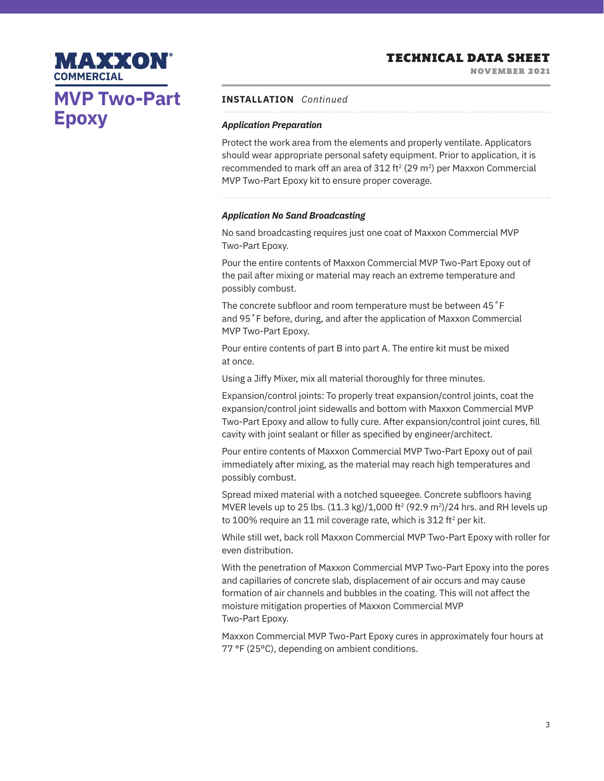NOVEMBER 2021

# **MVP Two-Part Epoxy**

MAXXON

**COMMERCIAL**

# **INSTALLATION** *Continued*

# *Application Preparation*

Protect the work area from the elements and properly ventilate. Applicators should wear appropriate personal safety equipment. Prior to application, it is recommended to mark off an area of 312 ft<sup>2</sup> (29 m<sup>2</sup>) per Maxxon Commercial MVP Two-Part Epoxy kit to ensure proper coverage.

# *Application No Sand Broadcasting*

No sand broadcasting requires just one coat of Maxxon Commercial MVP Two-Part Epoxy.

Pour the entire contents of Maxxon Commercial MVP Two-Part Epoxy out of the pail after mixing or material may reach an extreme temperature and possibly combust.

The concrete subfloor and room temperature must be between 45˚F and 95˚F before, during, and after the application of Maxxon Commercial MVP Two-Part Epoxy.

Pour entire contents of part B into part A. The entire kit must be mixed at once.

Using a Jiffy Mixer, mix all material thoroughly for three minutes.

Expansion/control joints: To properly treat expansion/control joints, coat the expansion/control joint sidewalls and bottom with Maxxon Commercial MVP Two-Part Epoxy and allow to fully cure. After expansion/control joint cures, fill cavity with joint sealant or filler as specified by engineer/architect.

Pour entire contents of Maxxon Commercial MVP Two-Part Epoxy out of pail immediately after mixing, as the material may reach high temperatures and possibly combust.

Spread mixed material with a notched squeegee. Concrete subfloors having MVER levels up to 25 lbs.  $(11.3 \text{ kg})/1,000 \text{ ft}^2 (92.9 \text{ m}^2)/24 \text{ hrs.}$  and RH levels up to 100% require an 11 mil coverage rate, which is 312 ft<sup>2</sup> per kit.

While still wet, back roll Maxxon Commercial MVP Two-Part Epoxy with roller for even distribution.

With the penetration of Maxxon Commercial MVP Two-Part Epoxy into the pores and capillaries of concrete slab, displacement of air occurs and may cause formation of air channels and bubbles in the coating. This will not affect the moisture mitigation properties of Maxxon Commercial MVP Two-Part Epoxy.

Maxxon Commercial MVP Two-Part Epoxy cures in approximately four hours at 77 °F (25°C), depending on ambient conditions.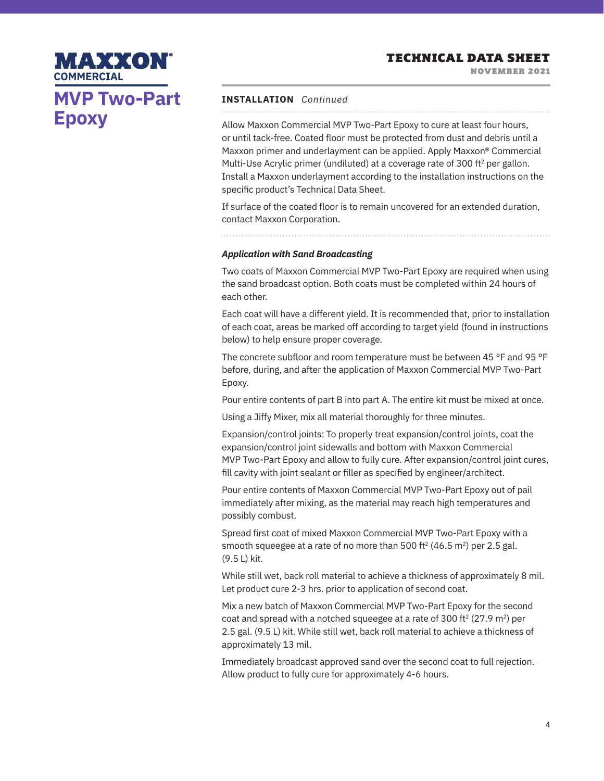NOVEMBER 2021

# MAXXON **COMMERCIAL MVP Two-Part Epoxy**

# **INSTALLATION** *Continued*

Allow Maxxon Commercial MVP Two-Part Epoxy to cure at least four hours, or until tack-free. Coated floor must be protected from dust and debris until a Maxxon primer and underlayment can be applied. Apply Maxxon® Commercial Multi-Use Acrylic primer (undiluted) at a coverage rate of 300 ft<sup>2</sup> per gallon. Install a Maxxon underlayment according to the installation instructions on the specific product's Technical Data Sheet.

If surface of the coated floor is to remain uncovered for an extended duration, contact Maxxon Corporation.

*Application with Sand Broadcasting* 

Two coats of Maxxon Commercial MVP Two-Part Epoxy are required when using the sand broadcast option. Both coats must be completed within 24 hours of each other.

Each coat will have a different yield. It is recommended that, prior to installation of each coat, areas be marked off according to target yield (found in instructions below) to help ensure proper coverage.

The concrete subfloor and room temperature must be between 45 °F and 95 °F before, during, and after the application of Maxxon Commercial MVP Two-Part Epoxy.

Pour entire contents of part B into part A. The entire kit must be mixed at once.

Using a Jiffy Mixer, mix all material thoroughly for three minutes.

Expansion/control joints: To properly treat expansion/control joints, coat the expansion/control joint sidewalls and bottom with Maxxon Commercial MVP Two-Part Epoxy and allow to fully cure. After expansion/control joint cures, fill cavity with joint sealant or filler as specified by engineer/architect.

Pour entire contents of Maxxon Commercial MVP Two-Part Epoxy out of pail immediately after mixing, as the material may reach high temperatures and possibly combust.

Spread first coat of mixed Maxxon Commercial MVP Two-Part Epoxy with a smooth squeegee at a rate of no more than 500 ft<sup>2</sup> (46.5 m<sup>2</sup>) per 2.5 gal. (9.5 L) kit.

While still wet, back roll material to achieve a thickness of approximately 8 mil. Let product cure 2-3 hrs. prior to application of second coat.

Mix a new batch of Maxxon Commercial MVP Two-Part Epoxy for the second coat and spread with a notched squeegee at a rate of 300 ft<sup>2</sup> (27.9 m<sup>2</sup>) per 2.5 gal. (9.5 L) kit. While still wet, back roll material to achieve a thickness of approximately 13 mil.

Immediately broadcast approved sand over the second coat to full rejection. Allow product to fully cure for approximately 4-6 hours.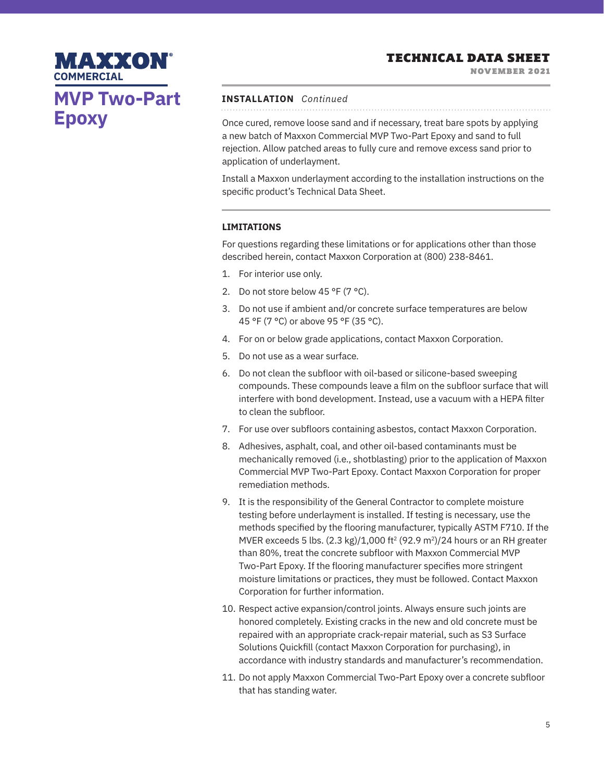# NOVEMBER 2021 **COMMERCIAL MVP Two-Part Epoxy**

MAXXON

# **INSTALLATION** *Continued*

Once cured, remove loose sand and if necessary, treat bare spots by applying a new batch of Maxxon Commercial MVP Two-Part Epoxy and sand to full rejection. Allow patched areas to fully cure and remove excess sand prior to application of underlayment.

Install a Maxxon underlayment according to the installation instructions on the specific product's Technical Data Sheet.

# **LIMITATIONS**

For questions regarding these limitations or for applications other than those described herein, contact Maxxon Corporation at (800) 238-8461.

- 1. For interior use only.
- 2. Do not store below 45 °F (7 °C).
- 3. Do not use if ambient and/or concrete surface temperatures are below 45 °F (7 °C) or above 95 °F (35 °C).
- 4. For on or below grade applications, contact Maxxon Corporation.
- 5. Do not use as a wear surface.
- 6. Do not clean the subfloor with oil-based or silicone-based sweeping compounds. These compounds leave a film on the subfloor surface that will interfere with bond development. Instead, use a vacuum with a HEPA filter to clean the subfloor.
- 7. For use over subfloors containing asbestos, contact Maxxon Corporation.
- 8. Adhesives, asphalt, coal, and other oil-based contaminants must be mechanically removed (i.e., shotblasting) prior to the application of Maxxon Commercial MVP Two-Part Epoxy. Contact Maxxon Corporation for proper remediation methods.
- 9. It is the responsibility of the General Contractor to complete moisture testing before underlayment is installed. If testing is necessary, use the methods specified by the flooring manufacturer, typically ASTM F710. If the MVER exceeds 5 lbs.  $(2.3 \text{ kg})/1,000 \text{ ft}^2 (92.9 \text{ m}^2)/24$  hours or an RH greater than 80%, treat the concrete subfloor with Maxxon Commercial MVP Two-Part Epoxy. If the flooring manufacturer specifies more stringent moisture limitations or practices, they must be followed. Contact Maxxon Corporation for further information.
- 10. Respect active expansion/control joints. Always ensure such joints are honored completely. Existing cracks in the new and old concrete must be repaired with an appropriate crack-repair material, such as S3 Surface Solutions Quickfill (contact Maxxon Corporation for purchasing), in accordance with industry standards and manufacturer's recommendation.
- 11. Do not apply Maxxon Commercial Two-Part Epoxy over a concrete subfloor that has standing water.